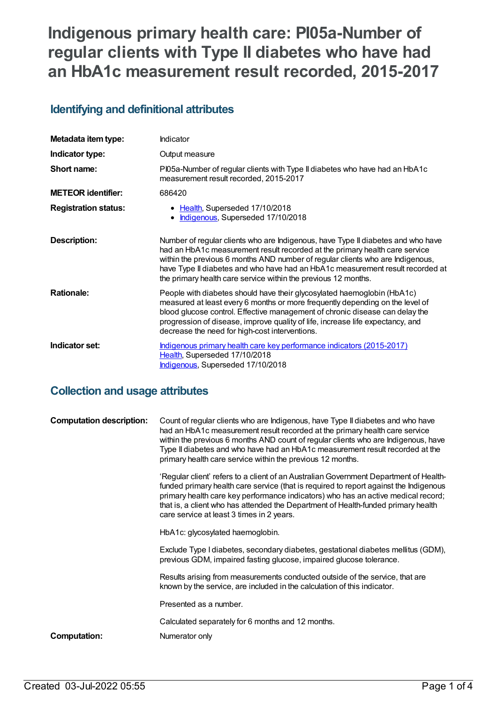# **Indigenous primary health care: PI05a-Number of regular clients with Type II diabetes who have had an HbA1c measurement result recorded, 2015-2017**

#### **Identifying and definitional attributes**

| Metadata item type:         | Indicator                                                                                                                                                                                                                                                                                                                                                                                             |
|-----------------------------|-------------------------------------------------------------------------------------------------------------------------------------------------------------------------------------------------------------------------------------------------------------------------------------------------------------------------------------------------------------------------------------------------------|
| Indicator type:             | Output measure                                                                                                                                                                                                                                                                                                                                                                                        |
| Short name:                 | PI05a-Number of regular clients with Type II diabetes who have had an HbA1c<br>measurement result recorded, 2015-2017                                                                                                                                                                                                                                                                                 |
| <b>METEOR identifier:</b>   | 686420                                                                                                                                                                                                                                                                                                                                                                                                |
| <b>Registration status:</b> | • Health, Superseded 17/10/2018<br>Indigenous, Superseded 17/10/2018                                                                                                                                                                                                                                                                                                                                  |
| <b>Description:</b>         | Number of regular clients who are Indigenous, have Type II diabetes and who have<br>had an HbA1c measurement result recorded at the primary health care service<br>within the previous 6 months AND number of regular clients who are Indigenous,<br>have Type II diabetes and who have had an HbA1c measurement result recorded at<br>the primary health care service within the previous 12 months. |
| <b>Rationale:</b>           | People with diabetes should have their glycosylated haemoglobin (HbA1c)<br>measured at least every 6 months or more frequently depending on the level of<br>blood glucose control. Effective management of chronic disease can delay the<br>progression of disease, improve quality of life, increase life expectancy, and<br>decrease the need for high-cost interventions.                          |
| Indicator set:              | Indigenous primary health care key performance indicators (2015-2017)<br>Health, Superseded 17/10/2018<br>Indigenous, Superseded 17/10/2018                                                                                                                                                                                                                                                           |

#### **Collection and usage attributes**

| <b>Computation description:</b> | Count of regular clients who are Indigenous, have Type II diabetes and who have<br>had an HbA1c measurement result recorded at the primary health care service<br>within the previous 6 months AND count of regular clients who are Indigenous, have<br>Type II diabetes and who have had an HbA1c measurement result recorded at the<br>primary health care service within the previous 12 months.   |
|---------------------------------|-------------------------------------------------------------------------------------------------------------------------------------------------------------------------------------------------------------------------------------------------------------------------------------------------------------------------------------------------------------------------------------------------------|
|                                 | 'Regular client' refers to a client of an Australian Government Department of Health-<br>funded primary health care service (that is required to report against the Indigenous<br>primary health care key performance indicators) who has an active medical record;<br>that is, a client who has attended the Department of Health-funded primary health<br>care service at least 3 times in 2 years. |
|                                 | HbA1c: glycosylated haemoglobin.                                                                                                                                                                                                                                                                                                                                                                      |
|                                 | Exclude Type I diabetes, secondary diabetes, gestational diabetes mellitus (GDM),<br>previous GDM, impaired fasting glucose, impaired glucose tolerance.                                                                                                                                                                                                                                              |
|                                 | Results arising from measurements conducted outside of the service, that are<br>known by the service, are included in the calculation of this indicator.                                                                                                                                                                                                                                              |
|                                 | Presented as a number.                                                                                                                                                                                                                                                                                                                                                                                |
|                                 | Calculated separately for 6 months and 12 months.                                                                                                                                                                                                                                                                                                                                                     |
| Computation:                    | Numerator only                                                                                                                                                                                                                                                                                                                                                                                        |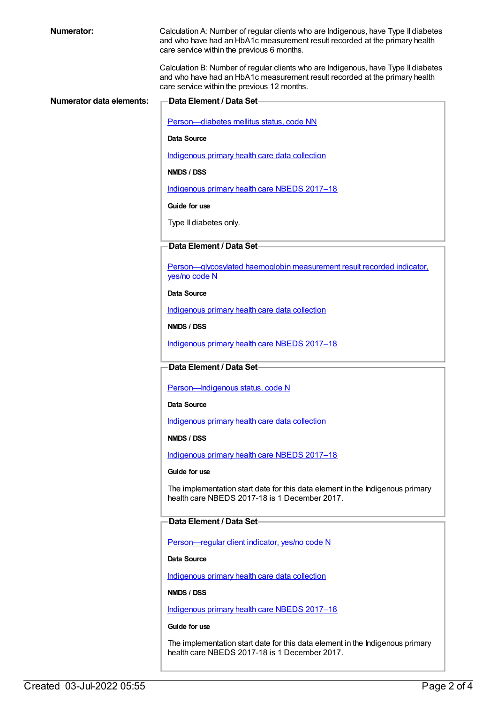Calculation A: Number of regular clients who are Indigenous, have Type II diabetes and who have had an HbA1c measurement result recorded at the primary health care service within the previous 6 months.

Calculation B: Number of regular clients who are Indigenous, have Type II diabetes and who have had an HbA1c measurement result recorded at the primary health care service within the previous 12 months.

| Numerator data elements: | <b>Data Element / Data Set-</b>                                                                                                |
|--------------------------|--------------------------------------------------------------------------------------------------------------------------------|
|                          | Person-diabetes mellitus status, code NN                                                                                       |
|                          | Data Source                                                                                                                    |
|                          | Indigenous primary health care data collection                                                                                 |
|                          | NMDS / DSS                                                                                                                     |
|                          | Indigenous primary health care NBEDS 2017-18                                                                                   |
|                          | Guide for use                                                                                                                  |
|                          | Type II diabetes only.                                                                                                         |
|                          |                                                                                                                                |
|                          | Data Element / Data Set-                                                                                                       |
|                          | Person-glycosylated haemoglobin measurement result recorded indicator.<br>yes/no code N                                        |
|                          | Data Source                                                                                                                    |
|                          | Indigenous primary health care data collection                                                                                 |
|                          | NMDS / DSS                                                                                                                     |
|                          | Indigenous primary health care NBEDS 2017-18                                                                                   |
|                          | Data Element / Data Set-                                                                                                       |
|                          | Person-Indigenous status, code N                                                                                               |
|                          | Data Source                                                                                                                    |
|                          | Indigenous primary health care data collection                                                                                 |
|                          | NMDS / DSS                                                                                                                     |
|                          | Indigenous primary health care NBEDS 2017-18                                                                                   |
|                          | Guide for use                                                                                                                  |
|                          | The implementation start date for this data element in the Indigenous primary<br>health care NBEDS 2017-18 is 1 December 2017. |
|                          | Data Element / Data Set-                                                                                                       |
|                          | Person-regular client indicator, yes/no code N                                                                                 |
|                          | Data Source                                                                                                                    |
|                          | Indigenous primary health care data collection                                                                                 |
|                          | NMDS / DSS                                                                                                                     |
|                          | Indigenous primary health care NBEDS 2017-18                                                                                   |
|                          | Guide for use                                                                                                                  |
|                          | The implementation start date for this data element in the Indigenous primary                                                  |

health care NBEDS 2017-18 is 1 December 2017.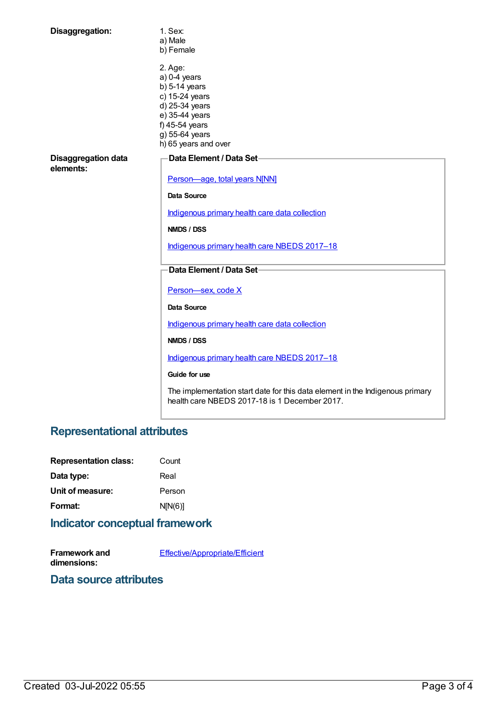| Disaggregation:                  | 1. Sex:<br>a) Male<br>b) Female                                                                                                                                |
|----------------------------------|----------------------------------------------------------------------------------------------------------------------------------------------------------------|
|                                  | 2. Age:<br>$a)$ 0-4 years<br>$b)$ 5-14 years<br>c) 15-24 years<br>d) 25-34 years<br>e) 35-44 years<br>f) 45-54 years<br>g) 55-64 years<br>h) 65 years and over |
| Disaggregation data<br>elements: | Data Element / Data Set-                                                                                                                                       |
|                                  | Person-age, total years N[NN]                                                                                                                                  |
|                                  | Data Source                                                                                                                                                    |
|                                  | Indigenous primary health care data collection                                                                                                                 |
|                                  | NMDS / DSS                                                                                                                                                     |
|                                  | Indigenous primary health care NBEDS 2017-18                                                                                                                   |
|                                  | Data Element / Data Set-                                                                                                                                       |
|                                  | Person-sex, code X                                                                                                                                             |
|                                  | <b>Data Source</b>                                                                                                                                             |
|                                  | Indigenous primary health care data collection                                                                                                                 |
|                                  | NMDS / DSS                                                                                                                                                     |
|                                  | Indigenous primary health care NBEDS 2017-18                                                                                                                   |
|                                  | Guide for use                                                                                                                                                  |
|                                  | The implementation start date for this data element in the Indigenous primary<br>health care NBEDS 2017-18 is 1 December 2017.                                 |

## **Representational attributes**

| <b>Representation class:</b> | Count   |
|------------------------------|---------|
| Data type:                   | Real    |
| Unit of measure:             | Person  |
| Format:                      | N[N(6)] |
|                              |         |

#### **Indicator conceptual framework**

**Framework and dimensions:** [Effective/Appropriate/Efficient](https://meteor.aihw.gov.au/content/410681)

### **Data source attributes**